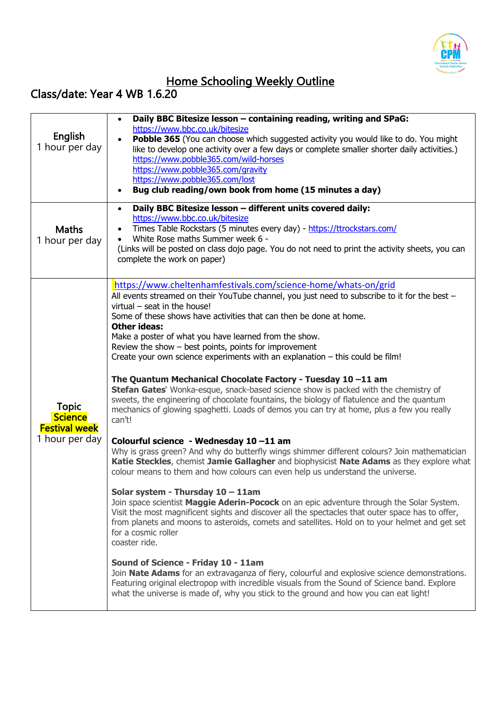

## Home Schooling Weekly Outline

## Class/date: Year 4 WB 1.6.20

| Daily BBC Bitesize lesson - different units covered daily:<br>$\bullet$<br>https://www.bbc.co.uk/bitesize<br>Times Table Rockstars (5 minutes every day) - https://ttrockstars.com/<br><b>Maths</b><br>White Rose maths Summer week 6 -<br>1 hour per day<br>(Links will be posted on class dojo page. You do not need to print the activity sheets, you can<br>complete the work on paper)<br>https://www.cheltenhamfestivals.com/science-home/whats-on/grid<br>All events streamed on their YouTube channel, you just need to subscribe to it for the best -<br>virtual $-$ seat in the house!<br>Some of these shows have activities that can then be done at home.<br><b>Other ideas:</b><br>Make a poster of what you have learned from the show.<br>Review the show $-$ best points, points for improvement<br>Create your own science experiments with an explanation - this could be film!<br>The Quantum Mechanical Chocolate Factory - Tuesday 10 -11 am<br>Stefan Gates' Wonka-esque, snack-based science show is packed with the chemistry of<br>sweets, the engineering of chocolate fountains, the biology of flatulence and the quantum | English<br>1 hour per day | Daily BBC Bitesize lesson - containing reading, writing and SPaG:<br>$\bullet$<br>https://www.bbc.co.uk/bitesize<br>Pobble 365 (You can choose which suggested activity you would like to do. You might<br>like to develop one activity over a few days or complete smaller shorter daily activities.)<br>https://www.pobble365.com/wild-horses<br>https://www.pobble365.com/gravity<br>https://www.pobble365.com/lost<br>Bug club reading/own book from home (15 minutes a day) |
|--------------------------------------------------------------------------------------------------------------------------------------------------------------------------------------------------------------------------------------------------------------------------------------------------------------------------------------------------------------------------------------------------------------------------------------------------------------------------------------------------------------------------------------------------------------------------------------------------------------------------------------------------------------------------------------------------------------------------------------------------------------------------------------------------------------------------------------------------------------------------------------------------------------------------------------------------------------------------------------------------------------------------------------------------------------------------------------------------------------------------------------------------------|---------------------------|----------------------------------------------------------------------------------------------------------------------------------------------------------------------------------------------------------------------------------------------------------------------------------------------------------------------------------------------------------------------------------------------------------------------------------------------------------------------------------|
|                                                                                                                                                                                                                                                                                                                                                                                                                                                                                                                                                                                                                                                                                                                                                                                                                                                                                                                                                                                                                                                                                                                                                        |                           |                                                                                                                                                                                                                                                                                                                                                                                                                                                                                  |
| <b>Science</b><br>can't!<br><b>Festival week</b><br>1 hour per day<br>Colourful science - Wednesday 10-11 am<br>colour means to them and how colours can even help us understand the universe.<br>Solar system - Thursday 10 - 11am<br>Join space scientist Maggie Aderin-Pocock on an epic adventure through the Solar System.<br>Visit the most magnificent sights and discover all the spectacles that outer space has to offer,<br>from planets and moons to asteroids, comets and satellites. Hold on to your helmet and get set<br>for a cosmic roller<br>coaster ride.<br>Sound of Science - Friday 10 - 11am<br>Join Nate Adams for an extravaganza of fiery, colourful and explosive science demonstrations.<br>Featuring original electropop with incredible visuals from the Sound of Science band. Explore<br>what the universe is made of, why you stick to the ground and how you can eat light!                                                                                                                                                                                                                                         | <b>Topic</b>              | mechanics of glowing spaghetti. Loads of demos you can try at home, plus a few you really<br>Why is grass green? And why do butterfly wings shimmer different colours? Join mathematician<br>Katie Steckles, chemist Jamie Gallagher and biophysicist Nate Adams as they explore what                                                                                                                                                                                            |